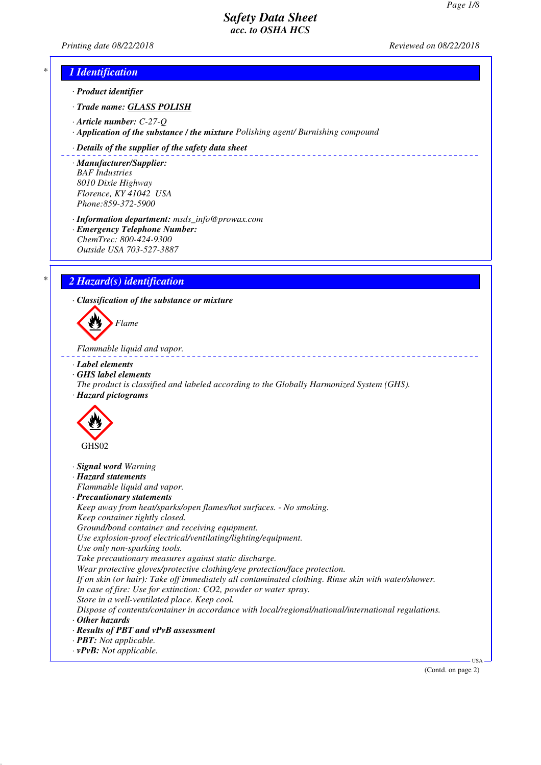*Printing date 08/22/2018 Reviewed on 08/22/2018*

### *\* 1 Identification*

*· Product identifier*

*· Trade name: GLASS POLISH*

- *· Article number: C-27-Q*
- *· Application of the substance / the mixture Polishing agent/ Burnishing compound*

#### *· Details of the supplier of the safety data sheet*

*· Manufacturer/Supplier: BAF Industries 8010 Dixie Highway Florence, KY 41042 USA Phone:859-372-5900*

*· Information department: msds\_info@prowax.com*

*· Emergency Telephone Number: ChemTrec: 800-424-9300 Outside USA 703-527-3887*

### *\* 2 Hazard(s) identification*

*· Classification of the substance or mixture*



*Flammable liquid and vapor.* 

- *· Label elements*
- *· GHS label elements*
- *The product is classified and labeled according to the Globally Harmonized System (GHS). · Hazard pictograms*



- *· Signal word Warning*
- *· Hazard statements*

*Flammable liquid and vapor.*

*· Precautionary statements*

*Keep away from heat/sparks/open flames/hot surfaces. - No smoking. Keep container tightly closed. Ground/bond container and receiving equipment. Use explosion-proof electrical/ventilating/lighting/equipment.*

*Use only non-sparking tools.*

*Take precautionary measures against static discharge.*

*Wear protective gloves/protective clothing/eye protection/face protection.*

*If on skin (or hair): Take off immediately all contaminated clothing. Rinse skin with water/shower.*

- *In case of fire: Use for extinction: CO2, powder or water spray.*
- *Store in a well-ventilated place. Keep cool.*

*Dispose of contents/container in accordance with local/regional/national/international regulations. · Other hazards*

- 
- *· Results of PBT and vPvB assessment*
- *· PBT: Not applicable.*
- *· vPvB: Not applicable.*

(Contd. on page 2)

USA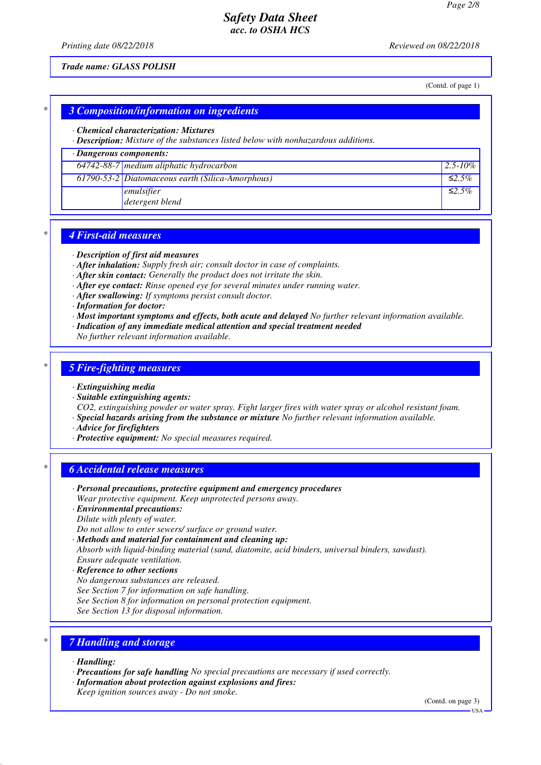*Printing date 08/22/2018 Reviewed on 08/22/2018*

*Trade name: GLASS POLISH*

(Contd. of page 1)

### *\* 3 Composition/information on ingredients*

#### *· Chemical characterization: Mixtures*

*· Description: Mixture of the substances listed below with nonhazardous additions.*

### *· Dangerous components:*

| 64742-88-7 medium aliphatic hydrocarbon          | $2.5 - 10\%$ |
|--------------------------------------------------|--------------|
| 61790-53-2 Diatomaceous earth (Silica-Amorphous) | $\leq 2.5\%$ |
| emulsifier<br>detergent blend                    | ≤2.5%        |

### *\* 4 First-aid measures*

- *· Description of first aid measures*
- *· After inhalation: Supply fresh air; consult doctor in case of complaints.*
- *· After skin contact: Generally the product does not irritate the skin.*
- *· After eye contact: Rinse opened eye for several minutes under running water.*
- *· After swallowing: If symptoms persist consult doctor.*
- *· Information for doctor:*
- *· Most important symptoms and effects, both acute and delayed No further relevant information available.*
- *· Indication of any immediate medical attention and special treatment needed*
- *No further relevant information available.*

### *\* 5 Fire-fighting measures*

- *· Extinguishing media*
- *· Suitable extinguishing agents:*
- *CO2, extinguishing powder or water spray. Fight larger fires with water spray or alcohol resistant foam.*
- *· Special hazards arising from the substance or mixture No further relevant information available.*
- *· Advice for firefighters*
- *· Protective equipment: No special measures required.*

### *\* 6 Accidental release measures*

- *· Personal precautions, protective equipment and emergency procedures Wear protective equipment. Keep unprotected persons away.*
- *· Environmental precautions:*
- *Dilute with plenty of water.*
- *Do not allow to enter sewers/ surface or ground water.*
- *· Methods and material for containment and cleaning up:*
- *Absorb with liquid-binding material (sand, diatomite, acid binders, universal binders, sawdust). Ensure adequate ventilation.*
- *· Reference to other sections*
- *No dangerous substances are released.*
- *See Section 7 for information on safe handling.*
- *See Section 8 for information on personal protection equipment.*
- *See Section 13 for disposal information.*

## *\* 7 Handling and storage*

- *· Handling:*
- *· Precautions for safe handling No special precautions are necessary if used correctly.*
- *· Information about protection against explosions and fires:*
- *Keep ignition sources away Do not smoke.*

(Contd. on page 3)

USA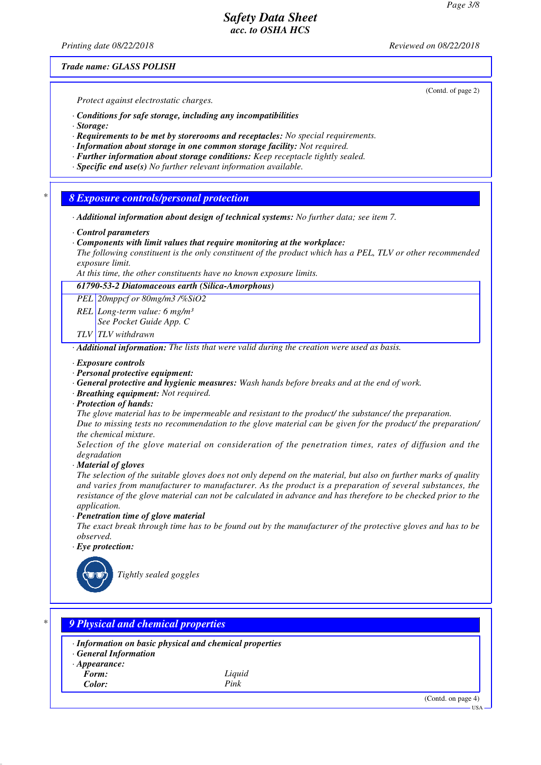*Printing date 08/22/2018 Reviewed on 08/22/2018*

*Trade name: GLASS POLISH*

*Protect against electrostatic charges.*

- *· Conditions for safe storage, including any incompatibilities*
- *· Storage:*
- *· Requirements to be met by storerooms and receptacles: No special requirements.*
- *· Information about storage in one common storage facility: Not required.*
- *· Further information about storage conditions: Keep receptacle tightly sealed.*
- *· Specific end use(s) No further relevant information available.*

*\* 8 Exposure controls/personal protection*

- *· Additional information about design of technical systems: No further data; see item 7.*
- *· Control parameters*
- *· Components with limit values that require monitoring at the workplace:*

*The following constituent is the only constituent of the product which has a PEL, TLV or other recommended exposure limit.*

*At this time, the other constituents have no known exposure limits.*

#### *61790-53-2 Diatomaceous earth (Silica-Amorphous)*

*PEL 20mppcf or 80mg/m3 /%SiO2*

*REL Long-term value: 6 mg/m³ See Pocket Guide App. C*

*TLV TLV withdrawn*

*· Additional information: The lists that were valid during the creation were used as basis.*

- *· Exposure controls*
- *· Personal protective equipment:*
- *· General protective and hygienic measures: Wash hands before breaks and at the end of work.*
- *· Breathing equipment: Not required.*
- *· Protection of hands:*

*The glove material has to be impermeable and resistant to the product/ the substance/ the preparation.*

*Due to missing tests no recommendation to the glove material can be given for the product/ the preparation/ the chemical mixture.*

*Selection of the glove material on consideration of the penetration times, rates of diffusion and the degradation*

*· Material of gloves*

*The selection of the suitable gloves does not only depend on the material, but also on further marks of quality and varies from manufacturer to manufacturer. As the product is a preparation of several substances, the resistance of the glove material can not be calculated in advance and has therefore to be checked prior to the application.*

*· Penetration time of glove material*

*The exact break through time has to be found out by the manufacturer of the protective gloves and has to be observed.*

*· Eye protection:*



*Tightly sealed goggles*

### *\* 9 Physical and chemical properties*

*· Information on basic physical and chemical properties*

*· General Information*

*· Appearance:*

*Form: Liquid*

*Color: Pink*

(Contd. on page 4)

(Contd. of page 2)

USA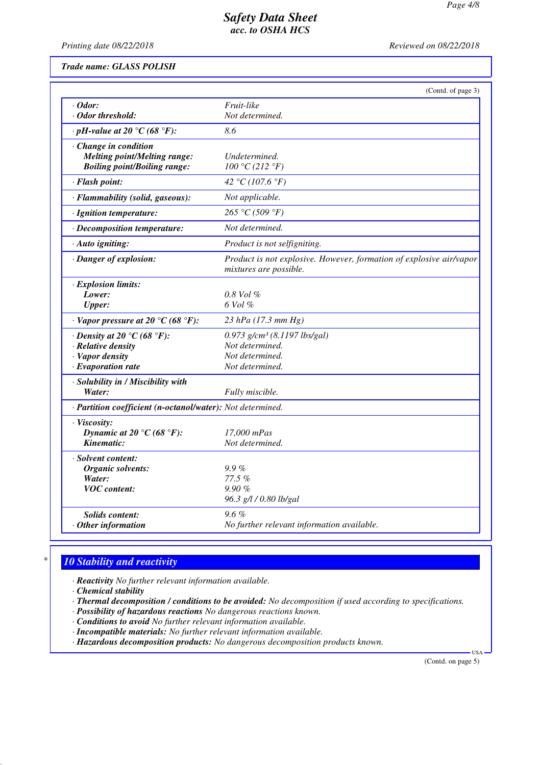*Printing date 08/22/2018 Reviewed on 08/22/2018*

*Trade name: GLASS POLISH*

|                                                            | (Contd. of page 3)                                                                            |
|------------------------------------------------------------|-----------------------------------------------------------------------------------------------|
| $\cdot$ Odor:                                              | Fruit-like                                                                                    |
| · Odor threshold:                                          | Not determined.                                                                               |
| $\cdot$ pH-value at 20 $\degree$ C (68 $\degree$ F):       | 8.6                                                                                           |
| · Change in condition                                      |                                                                                               |
| <b>Melting point/Melting range:</b>                        | Undetermined.                                                                                 |
| <b>Boiling point/Boiling range:</b>                        | 100 °C (212 °F)                                                                               |
| · Flash point:                                             | 42 °C (107.6 °F)                                                                              |
| · Flammability (solid, gaseous):                           | Not applicable.                                                                               |
| · Ignition temperature:                                    | 265 °C (509 °F)                                                                               |
| · Decomposition temperature:                               | Not determined.                                                                               |
| · Auto igniting:                                           | Product is not selfigniting.                                                                  |
| · Danger of explosion:                                     | Product is not explosive. However, formation of explosive air/vapor<br>mixtures are possible. |
| · Explosion limits:                                        |                                                                                               |
| Lower:                                                     | $0.8$ Vol $\%$                                                                                |
| <b>Upper:</b>                                              | 6 Vol %                                                                                       |
| $\cdot$ Vapor pressure at 20 °C (68 °F):                   | 23 hPa (17.3 mm Hg)                                                                           |
| $\cdot$ Density at 20 $\degree$ C (68 $\degree$ F):        | 0.973 $g/cm^3$ (8.1197 lbs/gal)                                                               |
| · Relative density                                         | Not determined.                                                                               |
| · Vapor density                                            | Not determined.                                                                               |
| · Evaporation rate                                         | Not determined.                                                                               |
| · Solubility in / Miscibility with                         |                                                                                               |
| Water:                                                     | Fully miscible.                                                                               |
| · Partition coefficient (n-octanol/water): Not determined. |                                                                                               |
| · Viscosity:                                               |                                                                                               |
| Dynamic at 20 °C (68 °F):                                  | 17,000 mPas                                                                                   |
| Kinematic:                                                 | Not determined.                                                                               |
| · Solvent content:                                         |                                                                                               |
| Organic solvents:                                          | $9.9\%$                                                                                       |
| Water:                                                     | $77.5\%$                                                                                      |
| <b>VOC</b> content:                                        | 9.90%                                                                                         |
|                                                            | 96.3 g/l / 0.80 lb/gal                                                                        |
| <b>Solids content:</b>                                     | 9.6%                                                                                          |
| $\cdot$ Other information                                  | No further relevant information available.                                                    |

# *\* 10 Stability and reactivity*

*· Reactivity No further relevant information available.*

*· Chemical stability*

*· Thermal decomposition / conditions to be avoided: No decomposition if used according to specifications.*

*· Possibility of hazardous reactions No dangerous reactions known.*

*· Conditions to avoid No further relevant information available.*

*· Incompatible materials: No further relevant information available.*

*· Hazardous decomposition products: No dangerous decomposition products known.*

(Contd. on page 5)

US<sub>i</sub>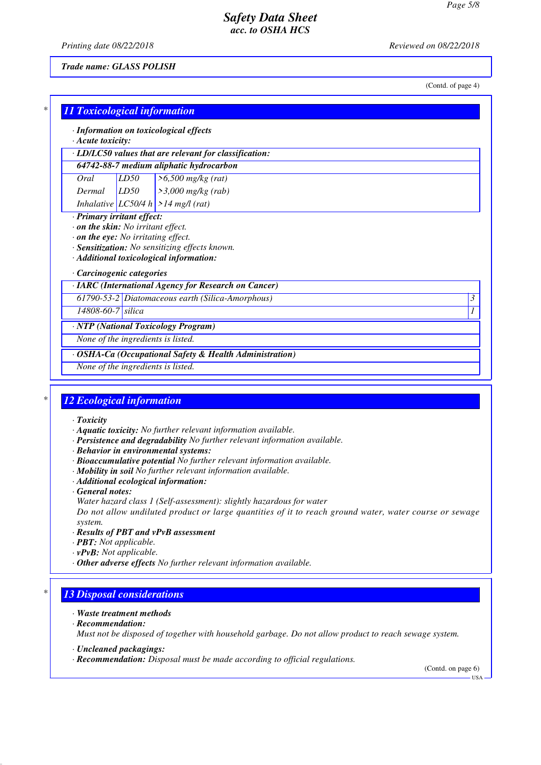*Printing date 08/22/2018 Reviewed on 08/22/2018*

*Trade name: GLASS POLISH*

(Contd. of page 4)

| * | <b>11 Toxicological information</b><br>$\cdot$ Acute toxicity:       |                                                  | · Information on toxicological effects                                                    |   |  |  |  |
|---|----------------------------------------------------------------------|--------------------------------------------------|-------------------------------------------------------------------------------------------|---|--|--|--|
|   |                                                                      |                                                  | · LD/LC50 values that are relevant for classification:                                    |   |  |  |  |
|   |                                                                      |                                                  | 64742-88-7 medium aliphatic hydrocarbon                                                   |   |  |  |  |
|   | Oral                                                                 | LD50                                             | $>6,500$ mg/kg (rat)                                                                      | 3 |  |  |  |
|   | Dermal                                                               | LD50                                             | $>3,000$ mg/kg (rab)                                                                      |   |  |  |  |
|   |                                                                      |                                                  | Inhalative LC50/4 h > 14 mg/l (rat)                                                       |   |  |  |  |
|   | $\cdot$ on the eye: No irritating effect.<br>Carcinogenic categories |                                                  | · Sensitization: No sensitizing effects known.<br>· Additional toxicological information: |   |  |  |  |
|   | · IARC (International Agency for Research on Cancer)                 |                                                  |                                                                                           |   |  |  |  |
|   |                                                                      | 61790-53-2 Diatomaceous earth (Silica-Amorphous) |                                                                                           |   |  |  |  |
|   | 14808-60-7 silica                                                    |                                                  |                                                                                           |   |  |  |  |
|   |                                                                      |                                                  | · NTP (National Toxicology Program)                                                       |   |  |  |  |
|   |                                                                      |                                                  | None of the ingredients is listed.                                                        |   |  |  |  |
|   | <b>OSHA-Ca (Occupational Safety &amp; Health Administration)</b>     |                                                  |                                                                                           |   |  |  |  |
|   | None of the ingredients is listed.                                   |                                                  |                                                                                           |   |  |  |  |

# *\* 12 Ecological information*

- *· Toxicity*
- *· Aquatic toxicity: No further relevant information available.*
- *· Persistence and degradability No further relevant information available.*
- *· Behavior in environmental systems:*
- *· Bioaccumulative potential No further relevant information available.*
- *· Mobility in soil No further relevant information available.*
- *· Additional ecological information:*
- *· General notes:*
- *Water hazard class 1 (Self-assessment): slightly hazardous for water*

*Do not allow undiluted product or large quantities of it to reach ground water, water course or sewage system.*

- *· Results of PBT and vPvB assessment*
- *· PBT: Not applicable.*
- *· vPvB: Not applicable.*
- *· Other adverse effects No further relevant information available.*

### *\* 13 Disposal considerations*

- *· Waste treatment methods*
- *· Recommendation: Must not be disposed of together with household garbage. Do not allow product to reach sewage system.*
- *· Uncleaned packagings:*
- *· Recommendation: Disposal must be made according to official regulations.*

(Contd. on page 6) -<br>HSA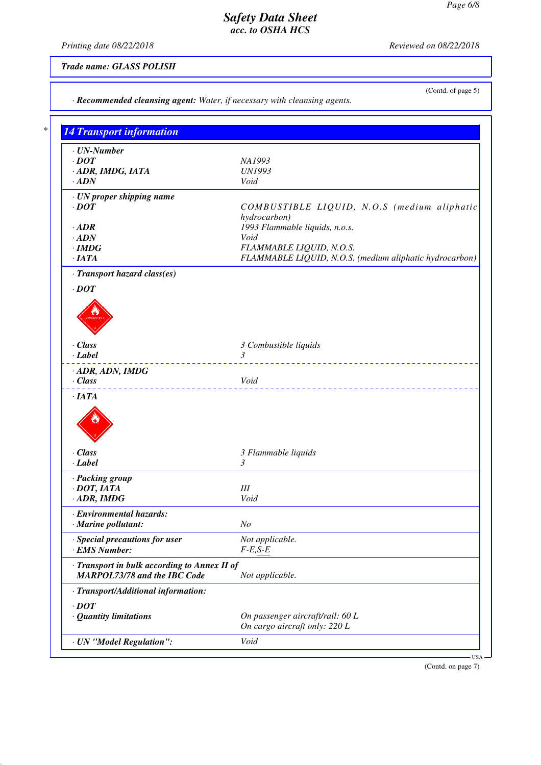*· Recommended cleansing agent: Water, if necessary with cleansing agents.*

*Printing date 08/22/2018 Reviewed on 08/22/2018*

*Trade name: GLASS POLISH*

(Contd. of page 5)

| <b>14 Transport information</b>                                                     |                                                         |
|-------------------------------------------------------------------------------------|---------------------------------------------------------|
| $\cdot$ UN-Number                                                                   |                                                         |
| $\cdot$ <i>DOT</i>                                                                  | NA1993                                                  |
| · ADR, IMDG, IATA                                                                   | <b>UN1993</b>                                           |
| $\cdot$ ADN                                                                         | Void                                                    |
| · UN proper shipping name                                                           |                                                         |
| $\cdot$ DOT                                                                         | COMBUSTIBLE LIQUID, N.O.S (medium aliphatic             |
|                                                                                     | hydrocarbon)                                            |
| $\cdot$ ADR                                                                         | 1993 Flammable liquids, n.o.s.                          |
| $\cdot$ ADN                                                                         | Void                                                    |
| $\cdot$ IMDG                                                                        | FLAMMABLE LIQUID, N.O.S.                                |
| $\cdot$ IATA                                                                        | FLAMMABLE LIQUID, N.O.S. (medium aliphatic hydrocarbon) |
| · Transport hazard class(es)                                                        |                                                         |
| $\cdot$ <i>DOT</i>                                                                  |                                                         |
|                                                                                     |                                                         |
|                                                                                     |                                                         |
|                                                                                     |                                                         |
|                                                                                     |                                                         |
| · Class                                                                             | 3 Combustible liquids                                   |
| $\cdot$ Label                                                                       | 3                                                       |
| $\cdot$ ADR, ADN, IMDG                                                              | <u>La La La La La La L</u> a                            |
| $\cdot$ Class                                                                       | Void                                                    |
| $\cdot$ IATA                                                                        |                                                         |
|                                                                                     |                                                         |
| · Class                                                                             | 3 Flammable liquids                                     |
| · Label                                                                             | 3                                                       |
| · Packing group                                                                     |                                                         |
| $\cdot$ DOT, IATA                                                                   | III                                                     |
| $\cdot$ ADR, IMDG                                                                   | Void                                                    |
| · Environmental hazards:                                                            |                                                         |
| · Marine pollutant:                                                                 | N <sub>O</sub>                                          |
| · Special precautions for user                                                      | Not applicable.                                         |
| · EMS Number:                                                                       | $F-E, S-E$                                              |
| · Transport in bulk according to Annex II of<br><b>MARPOL73/78 and the IBC Code</b> | Not applicable.                                         |
| · Transport/Additional information:                                                 |                                                         |
|                                                                                     |                                                         |
| $\cdot$ DOT                                                                         |                                                         |
| · Quantity limitations                                                              | On passenger aircraft/rail: 60 L                        |
|                                                                                     | On cargo aircraft only: 220 L                           |
|                                                                                     |                                                         |

(Contd. on page 7)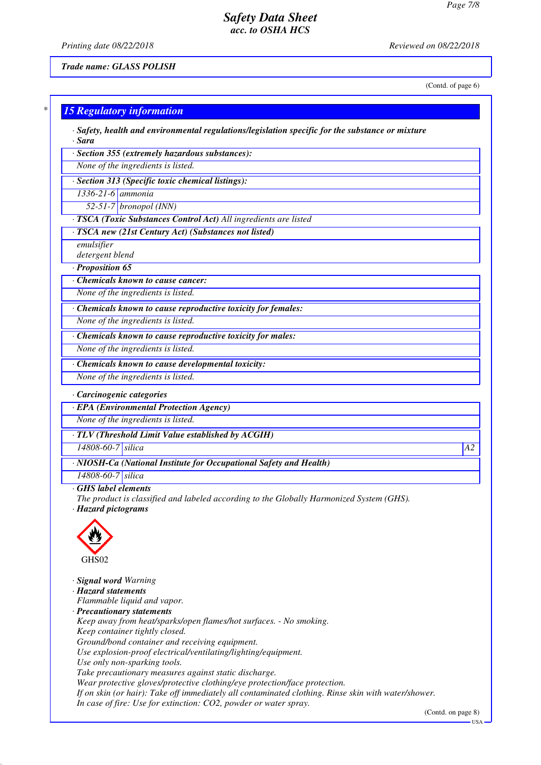*Printing date 08/22/2018 Reviewed on 08/22/2018*

*Trade name: GLASS POLISH*

(Contd. of page 6)

| · Safety, health and environmental regulations/legislation specific for the substance or mixture                                    |  |
|-------------------------------------------------------------------------------------------------------------------------------------|--|
| · Sara                                                                                                                              |  |
| · Section 355 (extremely hazardous substances):                                                                                     |  |
| None of the ingredients is listed.                                                                                                  |  |
| · Section 313 (Specific toxic chemical listings):                                                                                   |  |
| 1336-21-6 ammonia                                                                                                                   |  |
| $52-51-7$ bronopol (INN)                                                                                                            |  |
| · TSCA (Toxic Substances Control Act) All ingredients are listed                                                                    |  |
| · TSCA new (21st Century Act) (Substances not listed)                                                                               |  |
| emulsifier                                                                                                                          |  |
| detergent blend                                                                                                                     |  |
| · Proposition 65                                                                                                                    |  |
| Chemicals known to cause cancer:                                                                                                    |  |
| None of the ingredients is listed.                                                                                                  |  |
| · Chemicals known to cause reproductive toxicity for females:                                                                       |  |
| None of the ingredients is listed.                                                                                                  |  |
| · Chemicals known to cause reproductive toxicity for males:                                                                         |  |
| None of the ingredients is listed.                                                                                                  |  |
| · Chemicals known to cause developmental toxicity:                                                                                  |  |
| None of the ingredients is listed.                                                                                                  |  |
|                                                                                                                                     |  |
| · Carcinogenic categories<br>· EPA (Environmental Protection Agency)                                                                |  |
| None of the ingredients is listed.                                                                                                  |  |
|                                                                                                                                     |  |
| · TLV (Threshold Limit Value established by ACGIH)<br>14808-60-7 silica                                                             |  |
|                                                                                                                                     |  |
| · NIOSH-Ca (National Institute for Occupational Safety and Health)                                                                  |  |
| 14808-60-7 silica                                                                                                                   |  |
| GHS label elements<br>The product is classified and labeled according to the Globally Harmonized System (GHS).                      |  |
| · Hazard pictograms                                                                                                                 |  |
|                                                                                                                                     |  |
|                                                                                                                                     |  |
|                                                                                                                                     |  |
| GHS02                                                                                                                               |  |
|                                                                                                                                     |  |
| · Signal word Warning<br>· Hazard statements                                                                                        |  |
| Flammable liquid and vapor.                                                                                                         |  |
| · Precautionary statements                                                                                                          |  |
| Keep away from heat/sparks/open flames/hot surfaces. - No smoking.                                                                  |  |
| Keep container tightly closed.                                                                                                      |  |
| Ground/bond container and receiving equipment.                                                                                      |  |
| Use explosion-proof electrical/ventilating/lighting/equipment.                                                                      |  |
|                                                                                                                                     |  |
| Use only non-sparking tools.                                                                                                        |  |
| Take precautionary measures against static discharge.<br>Wear protective gloves/protective clothing/eye protection/face protection. |  |